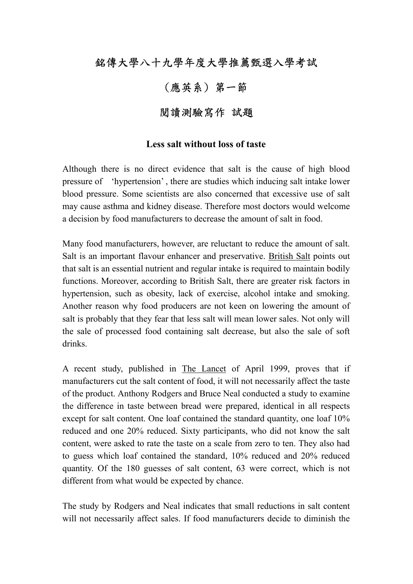## 銘傳大學八十九學年度大學推薦甄選入學考試

## (應英系) 第一節

## 閱讀測驗寫作 試題

## **Less salt without loss of taste**

Although there is no direct evidence that salt is the cause of high blood pressure of 'hypertension' , there are studies which inducing salt intake lower blood pressure. Some scientists are also concerned that excessive use of salt may cause asthma and kidney disease. Therefore most doctors would welcome a decision by food manufacturers to decrease the amount of salt in food.

Many food manufacturers, however, are reluctant to reduce the amount of salt. Salt is an important flavour enhancer and preservative. British Salt points out that salt is an essential nutrient and regular intake is required to maintain bodily functions. Moreover, according to British Salt, there are greater risk factors in hypertension, such as obesity, lack of exercise, alcohol intake and smoking. Another reason why food producers are not keen on lowering the amount of salt is probably that they fear that less salt will mean lower sales. Not only will the sale of processed food containing salt decrease, but also the sale of soft drinks.

A recent study, published in The Lancet of April 1999, proves that if manufacturers cut the salt content of food, it will not necessarily affect the taste of the product. Anthony Rodgers and Bruce Neal conducted a study to examine the difference in taste between bread were prepared, identical in all respects except for salt content. One loaf contained the standard quantity, one loaf 10% reduced and one 20% reduced. Sixty participants, who did not know the salt content, were asked to rate the taste on a scale from zero to ten. They also had to guess which loaf contained the standard, 10% reduced and 20% reduced quantity. Of the 180 guesses of salt content, 63 were correct, which is not different from what would be expected by chance.

The study by Rodgers and Neal indicates that small reductions in salt content will not necessarily affect sales. If food manufacturers decide to diminish the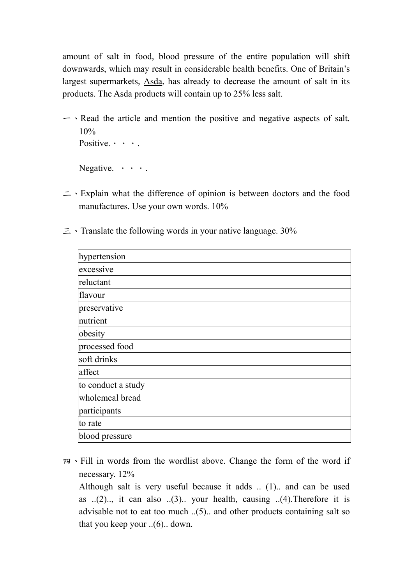amount of salt in food, blood pressure of the entire population will shift downwards, which may result in considerable health benefits. One of Britain's largest supermarkets, Asda, has already to decrease the amount of salt in its products. The Asda products will contain up to 25% less salt.

 $\sim$  Read the article and mention the positive and negative aspects of salt. 10% Positive......

Negative.  $\cdot \cdot \cdot$ .

二、Explain what the difference of opinion is between doctors and the food manufactures. Use your own words. 10%

|  | $\equiv$ $\cdot$ Translate the following words in your native language. 30% |  |  |  |  |  |  |  |
|--|-----------------------------------------------------------------------------|--|--|--|--|--|--|--|
|--|-----------------------------------------------------------------------------|--|--|--|--|--|--|--|

| hypertension       |  |
|--------------------|--|
| excessive          |  |
| reluctant          |  |
| flavour            |  |
| preservative       |  |
| nutrient           |  |
| obesity            |  |
| processed food     |  |
| soft drinks        |  |
| affect             |  |
| to conduct a study |  |
| wholemeal bread    |  |
| participants       |  |
| to rate            |  |
| blood pressure     |  |

四、Fill in words from the wordlist above. Change the form of the word if necessary. 12%

 Although salt is very useful because it adds .. (1).. and can be used as  $(2)$ ..., it can also  $(3)$ .. your health, causing  $(4)$ . Therefore it is advisable not to eat too much ..(5).. and other products containing salt so that you keep your ..(6).. down.